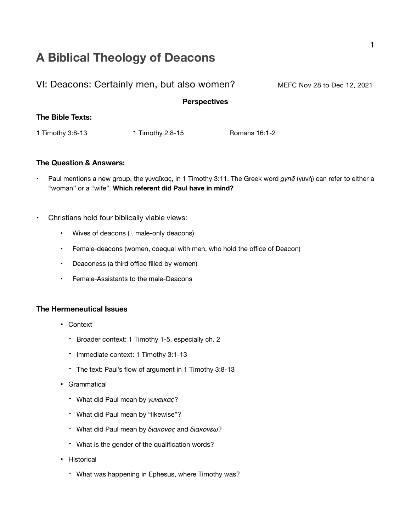# **A Biblical Theology of Deacons**

|                  | VI: Deacons: Certainly men, but also women? |               | MEFC Nov 28 to Dec 12, 2021 |
|------------------|---------------------------------------------|---------------|-----------------------------|
|                  | <b>Perspectives</b>                         |               |                             |
| The Bible Texts: |                                             |               |                             |
| 1 Timothy 3:8-13 | 1 Timothy 2:8-15                            | Romans 16:1-2 |                             |
|                  |                                             |               |                             |

#### **The Question & Answers:**

- Paul mentions a new group, the γυναῖκας, in 1 Timothy 3:11. The Greek word *gynē* (γυνή) can refer to either a "woman" or a "wife". **Which referent did Paul have in mind?**
- Christians hold four biblically viable views:
	- Wives of deacons (∴ male-only deacons)
	- Female-deacons (women, coequal with men, who hold the office of Deacon)
	- Deaconess (a third office filled by women)
	- Female-Assistants to the male-Deacons

#### **The Hermeneutical Issues**

- Context
	- Broader context: 1 Timothy 1-5, especially ch. 2
	- Immediate context: 1 Timothy 3:1-13
	- The text: Paul's flow of argument in 1 Timothy 3:8-13
- Grammatical
	- What did Paul mean by *γυναικας*?
	- What did Paul mean by "likewise"?
	- What did Paul mean by *διακονος* and *διακονεω*?
	- What is the gender of the qualification words?
- Historical
	- What was happening in Ephesus, where Timothy was?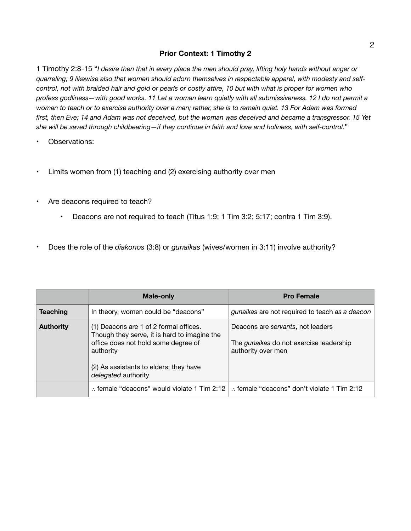#### **Prior Context: 1 Timothy 2**

1 Timothy 2:8-15 "*I desire then that in every place the men should pray, lifting holy hands without anger or quarreling; 9 likewise also that women should adorn themselves in respectable apparel, with modesty and selfcontrol, not with braided hair and gold or pearls or costly attire, 10 but with what is proper for women who profess godliness—with good works. 11 Let a woman learn quietly with all submissiveness. 12 I do not permit a woman to teach or to exercise authority over a man; rather, she is to remain quiet. 13 For Adam was formed first, then Eve; 14 and Adam was not deceived, but the woman was deceived and became a transgressor. 15 Yet she will be saved through childbearing—if they continue in faith and love and holiness, with self-control.*"

- Observations:
- Limits women from (1) teaching and (2) exercising authority over men
- Are deacons required to teach?
	- Deacons are not required to teach (Titus 1:9; 1 Tim 3:2; 5:17; contra 1 Tim 3:9).
- Does the role of the *diakonos* (3:8) or *gunaikas* (wives/women in 3:11) involve authority?

|                  | Male-only                                                                                                                                                                                                   | <b>Pro Female</b>                                                                                         |
|------------------|-------------------------------------------------------------------------------------------------------------------------------------------------------------------------------------------------------------|-----------------------------------------------------------------------------------------------------------|
| <b>Teaching</b>  | In theory, women could be "deacons"                                                                                                                                                                         | gunaikas are not required to teach as a deacon                                                            |
| <b>Authority</b> | (1) Deacons are 1 of 2 formal offices.<br>Though they serve, it is hard to imagine the<br>office does not hold some degree of<br>authority<br>(2) As assistants to elders, they have<br>delegated authority | Deacons are servants, not leaders<br>The <i>gunaikas</i> do not exercise leadership<br>authority over men |
|                  | : female "deacons" would violate 1 Tim 2:12                                                                                                                                                                 | female "deacons" don't violate 1 Tim 2:12                                                                 |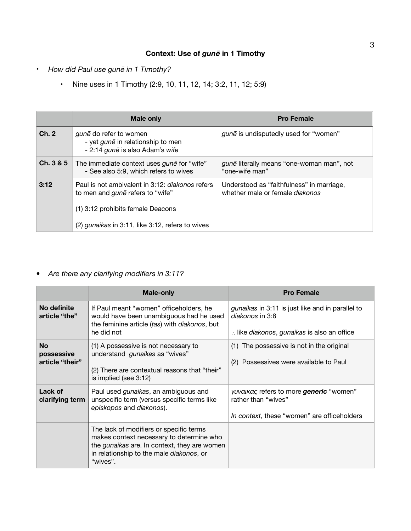# **Context: Use of** *gunē* **in 1 Timothy**

- *How did Paul use gunē in 1 Timothy?*
	- Nine uses in 1 Timothy (2:9, 10, 11, 12, 14; 3:2, 11, 12; 5:9)

|           | <b>Male only</b>                                                                                                                                                                           | <b>Pro Female</b>                                                            |
|-----------|--------------------------------------------------------------------------------------------------------------------------------------------------------------------------------------------|------------------------------------------------------------------------------|
| Ch. 2     | gune do refer to women<br>- yet <i>gune</i> in relationship to men<br>- 2:14 gune is also Adam's wife                                                                                      | gune is undisputedly used for "women"                                        |
| Ch. 3 & 5 | The immediate context uses <i>gune</i> for "wife"<br>- See also 5:9, which refers to wives                                                                                                 | gune literally means "one-woman man", not<br>"one-wife man"                  |
| 3:12      | Paul is not ambivalent in 3:12: <i>diakonos</i> refers<br>to men and <i>gune</i> refers to "wife"<br>(1) 3:12 prohibits female Deacons<br>(2) gunaikas in 3:11, like 3:12, refers to wives | Understood as "faithfulness" in marriage,<br>whether male or female diakonos |

### *• Are there any clarifying modifiers in 3:11?*

|                                            | <b>Male-only</b>                                                                                                                                                                            | <b>Pro Female</b>                                                                                                             |
|--------------------------------------------|---------------------------------------------------------------------------------------------------------------------------------------------------------------------------------------------|-------------------------------------------------------------------------------------------------------------------------------|
| No definite<br>article "the"               | If Paul meant "women" officeholders, he<br>would have been unambiguous had he used<br>the feminine article (tas) with diakonos, but<br>he did not                                           | gunaikas in 3:11 is just like and in parallel to<br>diakonos in 3:8<br>$\therefore$ like diakonos, gunaikas is also an office |
| <b>No</b><br>possessive<br>article "their" | (1) A possessive is not necessary to<br>understand <i>gunaikas</i> as "wives"<br>(2) There are contextual reasons that "their"<br>is implied (see 3:12)                                     | (1) The possessive is not in the original<br>(2) Possessives were available to Paul                                           |
| Lack of<br>clarifying term                 | Paul used <i>gunaikas</i> , an ambiguous and<br>unspecific term (versus specific terms like<br>episkopos and diakonos).                                                                     | <i>yuvalkac</i> refers to more <b>generic</b> "women"<br>rather than "wives"<br>In context, these "women" are officeholders   |
|                                            | The lack of modifiers or specific terms<br>makes context necessary to determine who<br>the gunaikas are. In context, they are women<br>in relationship to the male diakonos, or<br>"wives". |                                                                                                                               |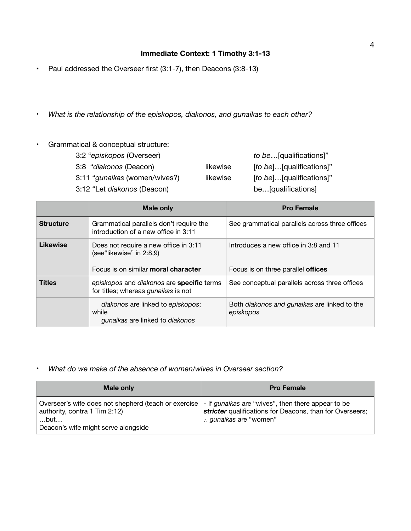## **Immediate Context: 1 Timothy 3:1-13**

- Paul addressed the Overseer first (3:1-7), then Deacons (3:8-13)
- *What is the relationship of the episkopos, diakonos, and gunaikas to each other?*
- Grammatical & conceptual structure:

| 3:2 "episkopos (Overseer)     |          | to be[qualifications]"   |
|-------------------------------|----------|--------------------------|
| 3:8 "diakonos (Deacon)        | likewise | [to be][qualifications]" |
| 3:11 "gunaikas (women/wives?) | likewise | [to be][qualifications]" |
| 3:12 "Let diakonos (Deacon)   |          | be[qualifications]       |

|                  | <b>Male only</b>                                                                                         | <b>Pro Female</b>                                                                  |
|------------------|----------------------------------------------------------------------------------------------------------|------------------------------------------------------------------------------------|
| <b>Structure</b> | Grammatical parallels don't require the<br>introduction of a new office in 3:11                          | See grammatical parallels across three offices                                     |
| <b>Likewise</b>  | Does not require a new office in 3:11<br>(see"likewise" in 2:8,9)<br>Focus is on similar moral character | Introduces a new office in 3:8 and 11<br>Focus is on three parallel <b>offices</b> |
| <b>Titles</b>    | episkopos and diakonos are specific terms<br>for titles; whereas <i>gunaikas</i> is not                  | See conceptual parallels across three offices                                      |
|                  | diakonos are linked to episkopos;<br>while<br>gunaikas are linked to diakonos                            | Both diakonos and gunaikas are linked to the<br>episkopos                          |

• *What do we make of the absence of women/wives in Overseer section?*

| Male only                                                                                                                                                                                             | <b>Pro Female</b>                                                                |
|-------------------------------------------------------------------------------------------------------------------------------------------------------------------------------------------------------|----------------------------------------------------------------------------------|
| Overseer's wife does not shepherd (teach or exercise   - If <i>gunalkas</i> are "wives", then there appear to be<br>authority, contra 1 Tim 2:12)<br>$$ but $$<br>Deacon's wife might serve alongside | stricter qualifications for Deacons, than for Overseers;<br>gunaikas are "women" |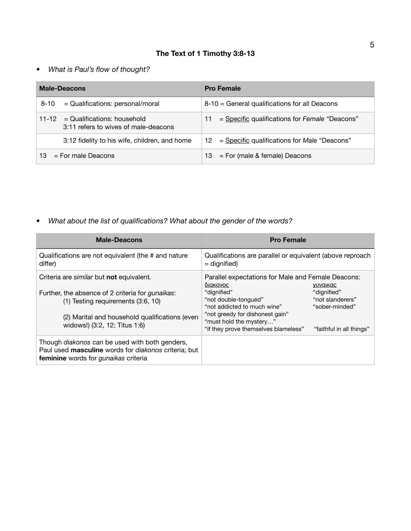# **The Text of 1 Timothy 3:8-13**

## *• What is Paul's flow of thought?*

| <b>Male-Deacons</b>         |                                                                             | <b>Pro Female</b>                                             |
|-----------------------------|-----------------------------------------------------------------------------|---------------------------------------------------------------|
| $8 - 10$                    | $=$ Qualifications: personal/moral                                          | 8-10 = General qualifications for all Deacons                 |
|                             | $11-12$ = Qualifications: household<br>3:11 refers to wives of male-deacons | = Specific qualifications for Female "Deacons"<br>11          |
|                             | 3:12 fidelity to his wife, children, and home                               | $=$ Specific qualifications for <i>Male</i> "Deacons"<br>12 - |
| $=$ For male Deacons<br>13. |                                                                             | $13 = For$ (male & female) Deacons                            |

*• What about the list of qualifications? What about the gender of the words?* 

| <b>Male-Deacons</b>                                                                                                                                                                                                       | <b>Pro Female</b>                                                                                                                                                                                                                          |                                                                                                  |
|---------------------------------------------------------------------------------------------------------------------------------------------------------------------------------------------------------------------------|--------------------------------------------------------------------------------------------------------------------------------------------------------------------------------------------------------------------------------------------|--------------------------------------------------------------------------------------------------|
| Qualifications are not equivalent (the # and nature<br>differ)                                                                                                                                                            | Qualifications are parallel or equivalent (above reproach<br>$=$ dignified)                                                                                                                                                                |                                                                                                  |
| Criteria are similar but not equivalent.<br>Further, the absence of 2 criteria for gunaikas:<br>$(1)$ Testing requirements $(3:6, 10)$<br>(2) Marital and household qualifications (even<br>widows!) (3:2, 12; Titus 1:6) | Parallel expectations for Male and Female Deacons:<br>διακονος<br>"dignified"<br>"not double-tongued"<br>"not addicted to much wine"<br>"not greedy for dishonest gain"<br>"must hold the mystery"<br>"if they prove themselves blameless" | <u>νυναικας</u><br>"dignified"<br>"not slanderers"<br>"sober-minded"<br>"faithful in all things" |
| Though <i>diakonos</i> can be used with both genders,<br>Paul used masculine words for <i>diakonos</i> criteria; but<br>feminine words for gunaikas criteria                                                              |                                                                                                                                                                                                                                            |                                                                                                  |